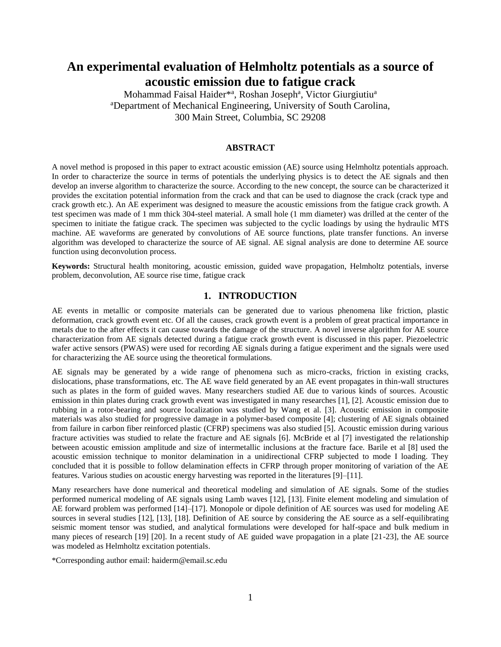# **An experimental evaluation of Helmholtz potentials as a source of acoustic emission due to fatigue crack**

Mohammad Faisal Haider\*<sup>a</sup>, Roshan Joseph<sup>a</sup>, Victor Giurgiutiu<sup>a</sup> <sup>a</sup>Department of Mechanical Engineering, University of South Carolina, 300 Main Street, Columbia, SC 29208

### **ABSTRACT**

A novel method is proposed in this paper to extract acoustic emission (AE) source using Helmholtz potentials approach. In order to characterize the source in terms of potentials the underlying physics is to detect the AE signals and then develop an inverse algorithm to characterize the source. According to the new concept, the source can be characterized it provides the excitation potential information from the crack and that can be used to diagnose the crack (crack type and crack growth etc.). An AE experiment was designed to measure the acoustic emissions from the fatigue crack growth. A test specimen was made of 1 mm thick 304-steel material. A small hole (1 mm diameter) was drilled at the center of the specimen to initiate the fatigue crack. The specimen was subjected to the cyclic loadings by using the hydraulic MTS machine. AE waveforms are generated by convolutions of AE source functions, plate transfer functions. An inverse algorithm was developed to characterize the source of AE signal. AE signal analysis are done to determine AE source function using deconvolution process.

**Keywords:** Structural health monitoring, acoustic emission, guided wave propagation, Helmholtz potentials, inverse problem, deconvolution, AE source rise time, fatigue crack

## **1. INTRODUCTION**

AE events in metallic or composite materials can be generated due to various phenomena like friction, plastic deformation, crack growth event etc. Of all the causes, crack growth event is a problem of great practical importance in metals due to the after effects it can cause towards the damage of the structure. A novel inverse algorithm for AE source characterization from AE signals detected during a fatigue crack growth event is discussed in this paper. Piezoelectric wafer active sensors (PWAS) were used for recording AE signals during a fatigue experiment and the signals were used for characterizing the AE source using the theoretical formulations.

AE signals may be generated by a wide range of phenomena such as micro-cracks, friction in existing cracks, dislocations, phase transformations, etc. The AE wave field generated by an AE event propagates in thin-wall structures such as plates in the form of guided waves. Many researchers studied AE due to various kinds of sources. Acoustic emission in thin plates during crack growth event was investigated in many researches [1], [2]. Acoustic emission due to rubbing in a rotor-bearing and source localization was studied by Wang et al. [3]. Acoustic emission in composite materials was also studied for progressive damage in a polymer-based composite [4]; clustering of AE signals obtained from failure in carbon fiber reinforced plastic (CFRP) specimens was also studied [5]. Acoustic emission during various fracture activities was studied to relate the fracture and AE signals [6]. McBride et al [7] investigated the relationship between acoustic emission amplitude and size of intermetallic inclusions at the fracture face. Barile et al [8] used the acoustic emission technique to monitor delamination in a unidirectional CFRP subjected to mode I loading. They concluded that it is possible to follow delamination effects in CFRP through proper monitoring of variation of the AE features. Various studies on acoustic energy harvesting was reported in the literatures [9]–[11].

Many researchers have done numerical and theoretical modeling and simulation of AE signals. Some of the studies performed numerical modeling of AE signals using Lamb waves [12], [13]. Finite element modeling and simulation of AE forward problem was performed [14]–[17]. Monopole or dipole definition of AE sources was used for modeling AE sources in several studies [12], [13], [18]. Definition of AE source by considering the AE source as a self-equilibrating seismic moment tensor was studied, and analytical formulations were developed for half-space and bulk medium in many pieces of research [19] [20]. In a recent study of AE guided wave propagation in a plate [21-23], the AE source was modeled as Helmholtz excitation potentials.

\*Corresponding author email: haiderm@email.sc.edu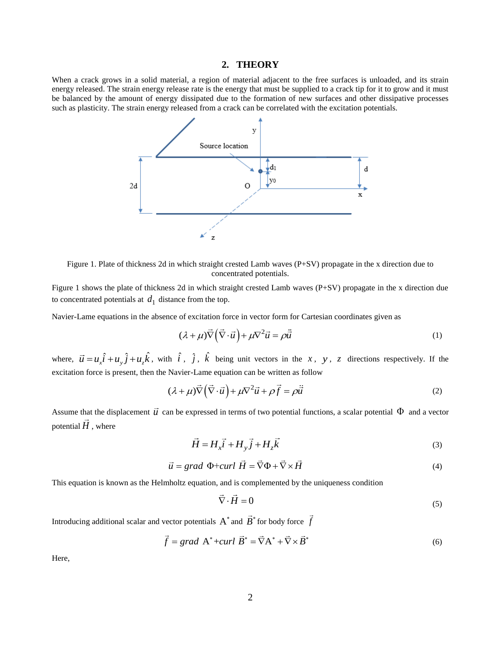#### **2. THEORY**

When a crack grows in a solid material, a region of material adjacent to the free surfaces is unloaded, and its strain energy released. The strain energy release rate is the energy that must be supplied to a crack tip for it to grow and it must be balanced by the amount of energy dissipated due to the formation of new surfaces and other dissipative processes such as plasticity. The strain energy released from a crack can be correlated with the excitation potentials.



Figure 1. Plate of thickness 2d in which straight crested Lamb waves (P+SV) propagate in the x direction due to concentrated potentials.

Figure 1 shows the plate of thickness 2d in which straight crested Lamb waves (P+SV) propagate in the x direction due to concentrated potentials at  $d_1$  distance from the top.

Navier-Lame equations in the absence of excitation force in vector form for Cartesian coordinates given as

$$
(\lambda + \mu)\vec{\nabla}\left(\vec{\nabla}\cdot\vec{u}\right) + \mu\nabla^2\vec{u} = \rho\ddot{\vec{u}}\tag{1}
$$

where,  $\vec{u} = u_x \hat{i} + u_y \hat{j} + u_z \hat{k}$ , with  $\hat{i}$ ,  $\hat{j}$ ,  $\hat{k}$  being unit vectors in the x, y, z directions respectively. If the excitation force is present, then the Navier-Lame equation can be written as follow

$$
(\lambda + \mu)\vec{\nabla}\left(\vec{\nabla}\cdot\vec{u}\right) + \mu\nabla^2\vec{u} + \rho\vec{f} = \rho\ddot{\vec{u}}\tag{2}
$$

Assume that the displacement  $\vec{u}$  can be expressed in terms of two potential functions, a scalar potential  $\Phi$  and a vector potential  $H$ , where

$$
\vec{H} = H_x \vec{i} + H_y \vec{j} + H_z \vec{k} \tag{3}
$$

$$
\vec{u} = grad \Phi + curl \vec{H} = \vec{\nabla}\Phi + \vec{\nabla}\times\vec{H}
$$
\n(4)

This equation is known as the Helmholtz equation, and is complemented by the uniqueness condition

$$
\nabla \cdot \vec{H} = 0 \tag{5}
$$

Introducing additional scalar and vector potentials  $A^*$  and  $B^*$  for body force  $f$ 

$$
\vec{f} = grad \mathbf{A}^* + curl \mathbf{B}^* = \vec{\nabla} \mathbf{A}^* + \vec{\nabla} \times \vec{B}^* \tag{6}
$$

Here,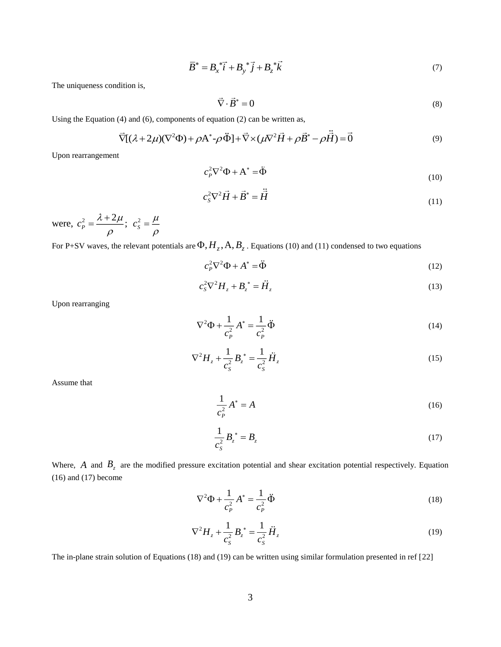$$
\overline{B}^* = B_x^* \overrightarrow{i} + B_y^* \overrightarrow{j} + B_z^* \overrightarrow{k}
$$
 (7)

The uniqueness condition is,

$$
\vec{\nabla} \cdot \vec{B}^* = 0 \tag{8}
$$

Using the Equation (4) and (6), components of equation (2) can be written as,

(4) and (6), components of equation (2) can be written as,  
\n
$$
\vec{\nabla}[(\lambda + 2\mu)(\nabla^2 \Phi) + \rho \mathbf{A}^* - \rho \vec{\Phi}] + \vec{\nabla} \times (\mu \nabla^2 \vec{H} + \rho \vec{B}^* - \rho \vec{\vec{H}}) = \vec{0}
$$
\n(9)

Upon rearrangement

$$
c_p^2 \nabla^2 \Phi + A^* = \ddot{\Phi}
$$
 (10)

$$
c_s^2 \nabla^2 \vec{H} + \vec{B}^* = \ddot{\vec{H}} \tag{11}
$$

were,  $c_p^2 = \frac{\lambda + 2}{\lambda}$  $c_P^2 = \frac{\lambda + 2\mu}{\lambda}$ ;  $\rho$  $=\frac{\lambda+2\mu}{c_s}$ ;  $c_s^2$  $c_s^2 = \frac{\mu}{\epsilon}$  $\rho$  $=$ 

For P+SV waves, the relevant potentials are  $\Phi, H_z, A, B_z$  . Equations (10) and (11) condensed to two equations

$$
c_p^2 \nabla^2 \Phi + A^* = \ddot{\Phi} \tag{12}
$$

$$
c_s^2 \nabla^2 H_z + B_z^* = \ddot{H}_z \tag{13}
$$

Upon rearranging

$$
\nabla^2 \Phi + \frac{1}{c_P^2} A^* = \frac{1}{c_P^2} \ddot{\Phi}
$$
 (14)

$$
\nabla^2 H_z + \frac{1}{c_s^2} B_z^* = \frac{1}{c_s^2} \ddot{H}_z
$$
 (15)

Assume that

$$
\frac{1}{c_P^2}A^* = A\tag{16}
$$

$$
\frac{1}{c_s^2} B_z^* = B_z \tag{17}
$$

Where,  $A$  and  $B_z$  are the modified pressure excitation potential and shear excitation potential respectively. Equation  $(16)$  and  $(17)$  become

$$
\nabla^2 \Phi + \frac{1}{c_p^2} A^* = \frac{1}{c_p^2} \ddot{\Phi}
$$
 (18)

$$
\nabla^2 H_z + \frac{1}{c_s^2} B_z^* = \frac{1}{c_s^2} \ddot{H}_z
$$
 (19)

The in-plane strain solution of Equations (18) and (19) can be written using similar formulation presented in ref [22]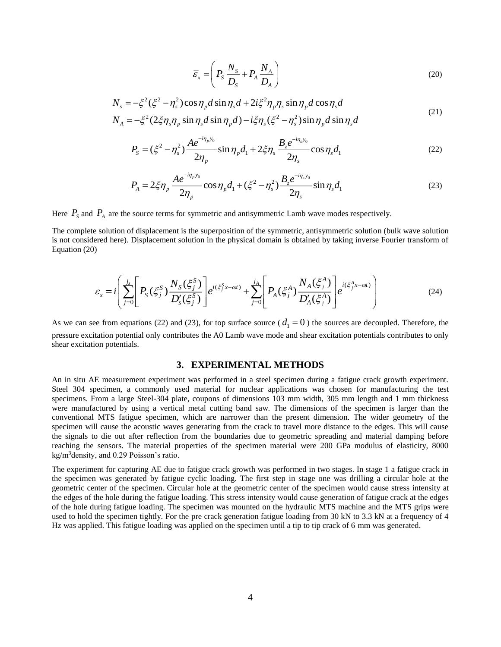$$
\overline{\mathcal{E}}_x = \left( P_s \frac{N_s}{D_s} + P_A \frac{N_A}{D_A} \right) \tag{20}
$$

$$
N_s = -\xi^2 (\xi^2 - \eta_s^2) \cos \eta_p d \sin \eta_s d + 2i \xi^2 \eta_p \eta_s \sin \eta_p d \cos \eta_s d
$$
  
\n
$$
N_A = -\xi^2 (2\xi \eta_s \eta_p \sin \eta_s d \sin \eta_p d) - i\xi \eta_s (\xi^2 - \eta_s^2) \sin \eta_p d \sin \eta_s d
$$
\n(21)

$$
P_{s} = (\xi^{2} - \eta_{s}^{2}) \frac{A e^{-i\eta_{p} y_{0}}}{2\eta_{p}} \sin \eta_{p} d_{1} + 2\xi \eta_{s} \frac{B_{z} e^{-i\eta_{s} y_{0}}}{2\eta_{s}} \cos \eta_{s} d_{1}
$$
(22)

$$
P_A = 2\xi\eta_p \frac{Ae^{-i\eta_p y_0}}{2\eta_p} \cos\eta_p d_1 + (\xi^2 - \eta_s^2) \frac{B_z e^{-i\eta_s y_0}}{2\eta_s} \sin\eta_s d_1
$$
 (23)

Here  $P_s$  and  $P_A$  are the source terms for symmetric and antisymmetric Lamb wave modes respectively.

The complete solution of displacement is the superposition of the symmetric, antisymmetric solution (bulk wave solution is not considered here). Displacement solution in the physical domain is obtained by taking inverse Fourier transform of Equation (20)

$$
\varepsilon_{x} = i \left( \sum_{j=0}^{j_{s}} \left[ P_{S}(\xi_{j}^{S}) \frac{N_{S}(\xi_{j}^{S})}{D_{S}'(\xi_{j}^{S})} \right] e^{i(\xi_{j}^{S}x - \omega t)} + \sum_{j=0}^{j_{A}} \left[ P_{A}(\xi_{j}^{A}) \frac{N_{A}(\xi_{j}^{A})}{D_{A}'(\xi_{j}^{A})} \right] e^{i(\xi_{j}^{A}x - \omega t)} \right)
$$
(24)

As we can see from equations (22) and (23), for top surface source ( $d_1 = 0$ ) the sources are decoupled. Therefore, the pressure excitation potential only contributes the A0 Lamb wave mode and shear excitation potentials contributes to only shear excitation potentials.

#### **3. EXPERIMENTAL METHODS**

An in situ AE measurement experiment was performed in a steel specimen during a fatigue crack growth experiment. Steel 304 specimen, a commonly used material for nuclear applications was chosen for manufacturing the test specimens. From a large Steel-304 plate, coupons of dimensions 103 mm width, 305 mm length and 1 mm thickness were manufactured by using a vertical metal cutting band saw. The dimensions of the specimen is larger than the conventional MTS fatigue specimen, which are narrower than the present dimension. The wider geometry of the specimen will cause the acoustic waves generating from the crack to travel more distance to the edges. This will cause the signals to die out after reflection from the boundaries due to geometric spreading and material damping before reaching the sensors. The material properties of the specimen material were 200 GPa modulus of elasticity, 8000 kg/m<sup>3</sup>density, and 0.29 Poisson's ratio.

The experiment for capturing AE due to fatigue crack growth was performed in two stages. In stage 1 a fatigue crack in the specimen was generated by fatigue cyclic loading. The first step in stage one was drilling a circular hole at the geometric center of the specimen. Circular hole at the geometric center of the specimen would cause stress intensity at the edges of the hole during the fatigue loading. This stress intensity would cause generation of fatigue crack at the edges of the hole during fatigue loading. The specimen was mounted on the hydraulic MTS machine and the MTS grips were used to hold the specimen tightly. For the pre crack generation fatigue loading from 30 kN to 3.3 kN at a frequency of 4 Hz was applied. This fatigue loading was applied on the specimen until a tip to tip crack of 6 mm was generated.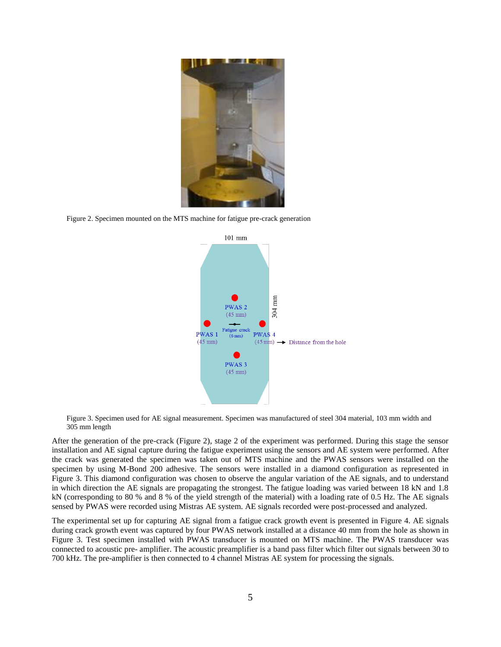

Figure 2. Specimen mounted on the MTS machine for fatigue pre-crack generation



Figure 3. Specimen used for AE signal measurement. Specimen was manufactured of steel 304 material, 103 mm width and 305 mm length

After the generation of the pre-crack (Figure 2), stage 2 of the experiment was performed. During this stage the sensor installation and AE signal capture during the fatigue experiment using the sensors and AE system were performed. After the crack was generated the specimen was taken out of MTS machine and the PWAS sensors were installed on the specimen by using M-Bond 200 adhesive. The sensors were installed in a diamond configuration as represented in Figure 3. This diamond configuration was chosen to observe the angular variation of the AE signals, and to understand in which direction the AE signals are propagating the strongest. The fatigue loading was varied between 18 kN and 1.8 kN (corresponding to 80 % and 8 % of the yield strength of the material) with a loading rate of 0.5 Hz. The AE signals sensed by PWAS were recorded using Mistras AE system. AE signals recorded were post-processed and analyzed.

The experimental set up for capturing AE signal from a fatigue crack growth event is presented in Figure 4. AE signals during crack growth event was captured by four PWAS network installed at a distance 40 mm from the hole as shown in Figure 3. Test specimen installed with PWAS transducer is mounted on MTS machine. The PWAS transducer was connected to acoustic pre- amplifier. The acoustic preamplifier is a band pass filter which filter out signals between 30 to 700 kHz. The pre-amplifier is then connected to 4 channel Mistras AE system for processing the signals.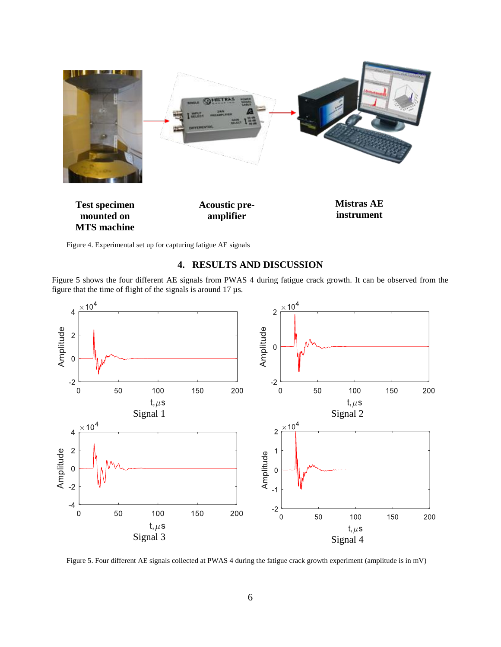

Figure 4. Experimental set up for capturing fatigue AE signals

# **4. RESULTS AND DISCUSSION**

Figure 5 shows the four different AE signals from PWAS 4 during fatigue crack growth. It can be observed from the figure that the time of flight of the signals is around 17 µs.



Figure 5. Four different AE signals collected at PWAS 4 during the fatigue crack growth experiment (amplitude is in mV)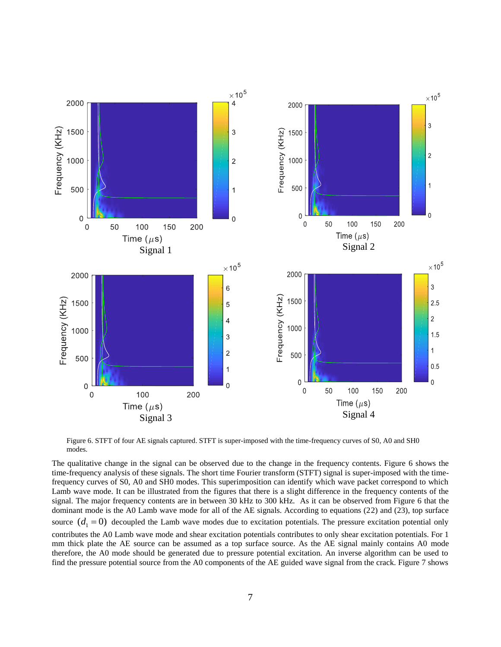

Figure 6. STFT of four AE signals captured. STFT is super-imposed with the time-frequency curves of S0, A0 and SH0 modes.

The qualitative change in the signal can be observed due to the change in the frequency contents. Figure 6 shows the time-frequency analysis of these signals. The short time Fourier transform (STFT) signal is super-imposed with the timefrequency curves of S0, A0 and SH0 modes. This superimposition can identify which wave packet correspond to which Lamb wave mode. It can be illustrated from the figures that there is a slight difference in the frequency contents of the signal. The major frequency contents are in between 30 kHz to 300 kHz. As it can be observed from Figure 6 that the dominant mode is the A0 Lamb wave mode for all of the AE signals. According to equations (22) and (23), top surface source  $(d_1 = 0)$  decoupled the Lamb wave modes due to excitation potentials. The pressure excitation potential only contributes the A0 Lamb wave mode and shear excitation potentials contributes to only shear excitation potentials. For 1 mm thick plate the AE source can be assumed as a top surface source. As the AE signal mainly contains A0 mode therefore, the A0 mode should be generated due to pressure potential excitation. An inverse algorithm can be used to find the pressure potential source from the A0 components of the AE guided wave signal from the crack. Figure 7 shows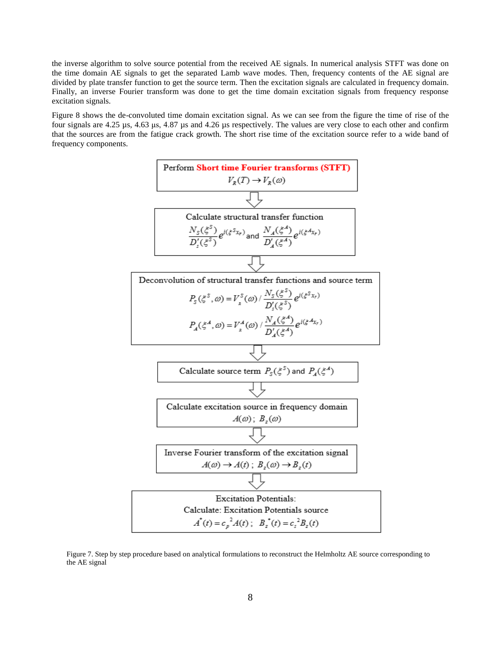the inverse algorithm to solve source potential from the received AE signals. In numerical analysis STFT was done on the time domain AE signals to get the separated Lamb wave modes. Then, frequency contents of the AE signal are divided by plate transfer function to get the source term. Then the excitation signals are calculated in frequency domain. Finally, an inverse Fourier transform was done to get the time domain excitation signals from frequency response excitation signals.

Figure 8 shows the de-convoluted time domain excitation signal. As we can see from the figure the time of rise of the four signals are 4.25 µs, 4.63 μs, 4.87 µs and 4.26 µs respectively. The values are very close to each other and confirm that the sources are from the fatigue crack growth. The short rise time of the excitation source refer to a wide band of frequency components.



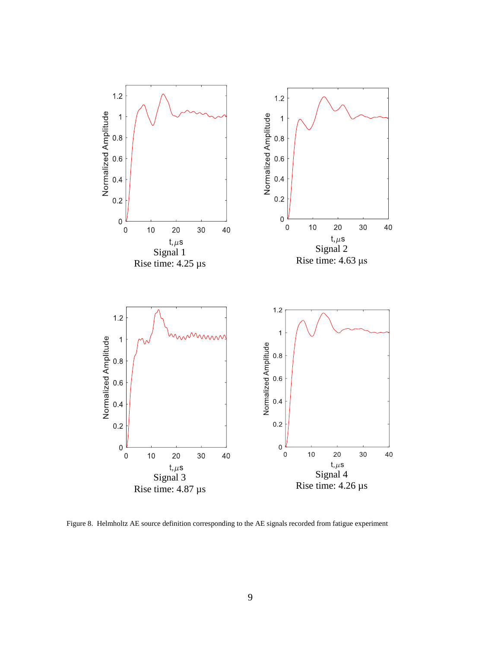

Figure 8. Helmholtz AE source definition corresponding to the AE signals recorded from fatigue experiment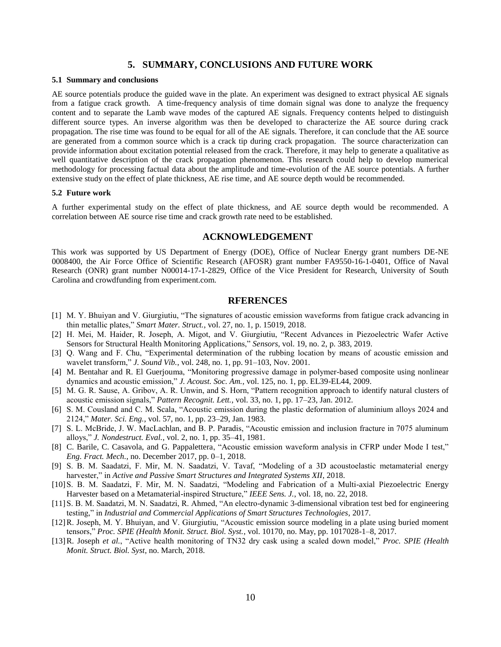#### **5. SUMMARY, CONCLUSIONS AND FUTURE WORK**

#### **5.1 Summary and conclusions**

AE source potentials produce the guided wave in the plate. An experiment was designed to extract physical AE signals from a fatigue crack growth. A time-frequency analysis of time domain signal was done to analyze the frequency content and to separate the Lamb wave modes of the captured AE signals. Frequency contents helped to distinguish different source types. An inverse algorithm was then be developed to characterize the AE source during crack propagation. The rise time was found to be equal for all of the AE signals. Therefore, it can conclude that the AE source are generated from a common source which is a crack tip during crack propagation. The source characterization can provide information about excitation potential released from the crack. Therefore, it may help to generate a qualitative as well quantitative description of the crack propagation phenomenon. This research could help to develop numerical methodology for processing factual data about the amplitude and time-evolution of the AE source potentials. A further extensive study on the effect of plate thickness, AE rise time, and AE source depth would be recommended.

#### **5.2 Future work**

A further experimental study on the effect of plate thickness, and AE source depth would be recommended. A correlation between AE source rise time and crack growth rate need to be established.

#### **ACKNOWLEDGEMENT**

This work was supported by US Department of Energy (DOE), Office of Nuclear Energy grant numbers DE-NE 0008400, the Air Force Office of Scientific Research (AFOSR) grant number FA9550-16-1-0401, Office of Naval Research (ONR) grant number N00014-17-1-2829, Office of the Vice President for Research, University of South Carolina and crowdfunding from experiment.com.

### **RFERENCES**

- [1] M. Y. Bhuiyan and V. Giurgiutiu, "The signatures of acoustic emission waveforms from fatigue crack advancing in thin metallic plates," *Smart Mater. Struct.*, vol. 27, no. 1, p. 15019, 2018.
- [2] H. Mei, M. Haider, R. Joseph, A. Migot, and V. Giurgiutiu, "Recent Advances in Piezoelectric Wafer Active Sensors for Structural Health Monitoring Applications," *Sensors*, vol. 19, no. 2, p. 383, 2019.
- [3] Q. Wang and F. Chu, "Experimental determination of the rubbing location by means of acoustic emission and wavelet transform," *J. Sound Vib.*, vol. 248, no. 1, pp. 91–103, Nov. 2001.
- [4] M. Bentahar and R. El Guerjouma, "Monitoring progressive damage in polymer-based composite using nonlinear dynamics and acoustic emission," *J. Acoust. Soc. Am.*, vol. 125, no. 1, pp. EL39-EL44, 2009.
- [5] M. G. R. Sause, A. Gribov, A. R. Unwin, and S. Horn, "Pattern recognition approach to identify natural clusters of acoustic emission signals," *Pattern Recognit. Lett.*, vol. 33, no. 1, pp. 17–23, Jan. 2012.
- [6] S. M. Cousland and C. M. Scala, "Acoustic emission during the plastic deformation of aluminium alloys 2024 and 2124," *Mater. Sci. Eng.*, vol. 57, no. 1, pp. 23–29, Jan. 1983.
- [7] S. L. McBride, J. W. MacLachlan, and B. P. Paradis, "Acoustic emission and inclusion fracture in 7075 aluminum alloys," *J. Nondestruct. Eval.*, vol. 2, no. 1, pp. 35–41, 1981.
- [8] C. Barile, C. Casavola, and G. Pappalettera, "Acoustic emission waveform analysis in CFRP under Mode I test," *Eng. Fract. Mech.*, no. December 2017, pp. 0–1, 2018.
- [9] S. B. M. Saadatzi, F. Mir, M. N. Saadatzi, V. Tavaf, "Modeling of a 3D acoustoelastic metamaterial energy harvester," in *Active and Passive Smart Structures and Integrated Systems XII*, 2018.
- [10]S. B. M. Saadatzi, F. Mir, M. N. Saadatzi, "Modeling and Fabrication of a Multi-axial Piezoelectric Energy Harvester based on a Metamaterial-inspired Structure," *IEEE Sens. J.*, vol. 18, no. 22, 2018.
- [11]S. B. M. Saadatzi, M. N. Saadatzi, R. Ahmed, "An electro-dynamic 3-dimensional vibration test bed for engineering testing," in *Industrial and Commercial Applications of Smart Structures Technologies*, 2017.
- [12]R. Joseph, M. Y. Bhuiyan, and V. Giurgiutiu, "Acoustic emission source modeling in a plate using buried moment tensors," *Proc. SPIE (Health Monit. Struct. Biol. Syst.*, vol. 10170, no. May, pp. 1017028-1–8, 2017.
- [13]R. Joseph *et al.*, "Active health monitoring of TN32 dry cask using a scaled down model," *Proc. SPIE (Health Monit. Struct. Biol. Syst*, no. March, 2018.